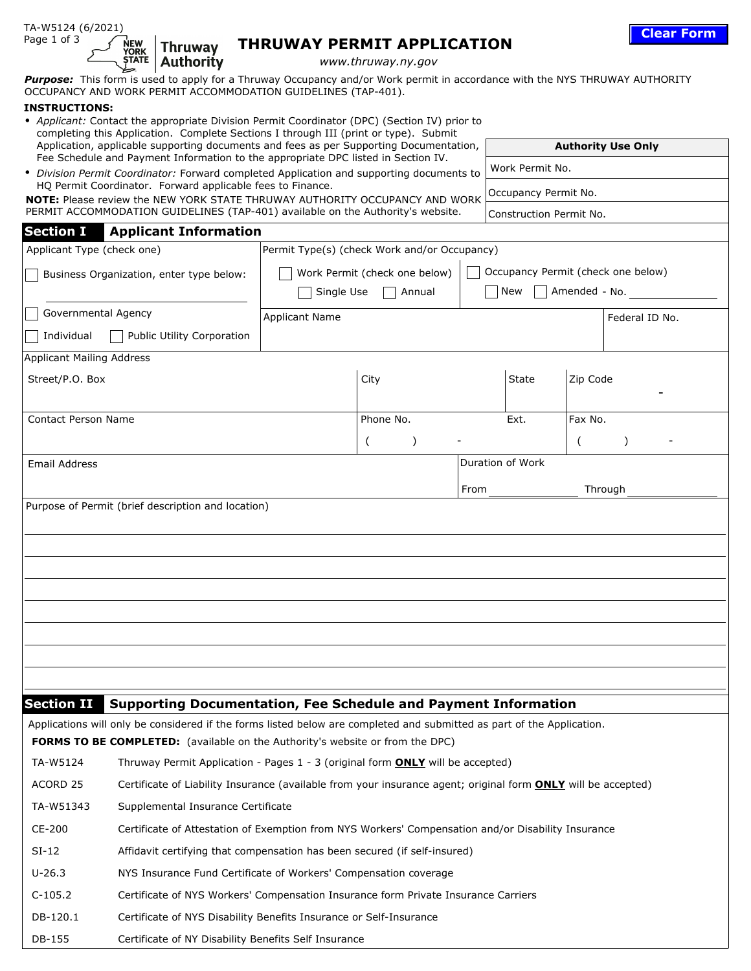| Page 1 of 3                                                                                                                                                                    | <b>NEW</b><br><b>YORK</b><br>STATE                                                                                                                                            | <b>Thruway</b><br><b>Authority</b>                                                                                                                                                                     |                          |                                                                     | <b>THRUWAY PERMIT APPLICATION</b>                                                                                                                                                                              |                           |                         |                 | <b>Clear Form</b> |  |
|--------------------------------------------------------------------------------------------------------------------------------------------------------------------------------|-------------------------------------------------------------------------------------------------------------------------------------------------------------------------------|--------------------------------------------------------------------------------------------------------------------------------------------------------------------------------------------------------|--------------------------|---------------------------------------------------------------------|----------------------------------------------------------------------------------------------------------------------------------------------------------------------------------------------------------------|---------------------------|-------------------------|-----------------|-------------------|--|
|                                                                                                                                                                                |                                                                                                                                                                               |                                                                                                                                                                                                        |                          |                                                                     | www.thruway.ny.gov<br>Purpose: This form is used to apply for a Thruway Occupancy and/or Work permit in accordance with the NYS THRUWAY AUTHORITY                                                              |                           |                         |                 |                   |  |
| OCCUPANCY AND WORK PERMIT ACCOMMODATION GUIDELINES (TAP-401).<br><b>INSTRUCTIONS:</b>                                                                                          |                                                                                                                                                                               |                                                                                                                                                                                                        |                          |                                                                     |                                                                                                                                                                                                                |                           |                         |                 |                   |  |
|                                                                                                                                                                                |                                                                                                                                                                               |                                                                                                                                                                                                        |                          |                                                                     | • Applicant: Contact the appropriate Division Permit Coordinator (DPC) (Section IV) prior to                                                                                                                   |                           |                         |                 |                   |  |
| completing this Application. Complete Sections I through III (print or type). Submit<br>Application, applicable supporting documents and fees as per Supporting Documentation, |                                                                                                                                                                               |                                                                                                                                                                                                        |                          |                                                                     |                                                                                                                                                                                                                | <b>Authority Use Only</b> |                         |                 |                   |  |
|                                                                                                                                                                                | Fee Schedule and Payment Information to the appropriate DPC listed in Section IV.<br>• Division Permit Coordinator: Forward completed Application and supporting documents to |                                                                                                                                                                                                        |                          |                                                                     |                                                                                                                                                                                                                |                           |                         | Work Permit No. |                   |  |
| HQ Permit Coordinator. Forward applicable fees to Finance.                                                                                                                     |                                                                                                                                                                               |                                                                                                                                                                                                        |                          |                                                                     |                                                                                                                                                                                                                |                           | Occupancy Permit No.    |                 |                   |  |
| NOTE: Please review the NEW YORK STATE THRUWAY AUTHORITY OCCUPANCY AND WORK<br>PERMIT ACCOMMODATION GUIDELINES (TAP-401) available on the Authority's website.                 |                                                                                                                                                                               |                                                                                                                                                                                                        |                          |                                                                     |                                                                                                                                                                                                                |                           | Construction Permit No. |                 |                   |  |
| <b>Section I</b>                                                                                                                                                               |                                                                                                                                                                               | <b>Applicant Information</b>                                                                                                                                                                           |                          |                                                                     |                                                                                                                                                                                                                |                           |                         |                 |                   |  |
| Applicant Type (check one)                                                                                                                                                     |                                                                                                                                                                               |                                                                                                                                                                                                        |                          |                                                                     | Permit Type(s) (check Work and/or Occupancy)                                                                                                                                                                   |                           |                         |                 |                   |  |
| Business Organization, enter type below:                                                                                                                                       |                                                                                                                                                                               |                                                                                                                                                                                                        |                          | Occupancy Permit (check one below)<br>Work Permit (check one below) |                                                                                                                                                                                                                |                           |                         |                 |                   |  |
|                                                                                                                                                                                |                                                                                                                                                                               |                                                                                                                                                                                                        | $\vert \textbf{v} \vert$ | Single Use<br>New<br>Amended - No.<br>Annual                        |                                                                                                                                                                                                                |                           |                         |                 |                   |  |
| Governmental Agency                                                                                                                                                            |                                                                                                                                                                               |                                                                                                                                                                                                        |                          | <b>Applicant Name</b>                                               |                                                                                                                                                                                                                |                           |                         |                 | Federal ID No.    |  |
| Individual                                                                                                                                                                     |                                                                                                                                                                               | Public Utility Corporation                                                                                                                                                                             |                          |                                                                     |                                                                                                                                                                                                                |                           |                         |                 |                   |  |
| <b>Applicant Mailing Address</b>                                                                                                                                               |                                                                                                                                                                               |                                                                                                                                                                                                        |                          |                                                                     |                                                                                                                                                                                                                |                           |                         |                 |                   |  |
| Street/P.O. Box                                                                                                                                                                |                                                                                                                                                                               |                                                                                                                                                                                                        |                          | City                                                                |                                                                                                                                                                                                                |                           | <b>State</b>            | Zip Code        |                   |  |
|                                                                                                                                                                                |                                                                                                                                                                               |                                                                                                                                                                                                        |                          |                                                                     |                                                                                                                                                                                                                |                           |                         |                 |                   |  |
| <b>Contact Person Name</b>                                                                                                                                                     |                                                                                                                                                                               |                                                                                                                                                                                                        |                          |                                                                     | Phone No.                                                                                                                                                                                                      |                           | Ext.                    | Fax No.         |                   |  |
|                                                                                                                                                                                |                                                                                                                                                                               |                                                                                                                                                                                                        |                          | $\lambda$                                                           |                                                                                                                                                                                                                |                           |                         |                 |                   |  |
| <b>Email Address</b>                                                                                                                                                           |                                                                                                                                                                               |                                                                                                                                                                                                        |                          |                                                                     |                                                                                                                                                                                                                |                           | Duration of Work        |                 |                   |  |
|                                                                                                                                                                                |                                                                                                                                                                               |                                                                                                                                                                                                        |                          |                                                                     |                                                                                                                                                                                                                | From                      |                         |                 | Through           |  |
|                                                                                                                                                                                |                                                                                                                                                                               |                                                                                                                                                                                                        |                          |                                                                     |                                                                                                                                                                                                                |                           |                         |                 |                   |  |
| <b>Section II</b>                                                                                                                                                              |                                                                                                                                                                               |                                                                                                                                                                                                        |                          |                                                                     | <b>Supporting Documentation, Fee Schedule and Payment Information</b>                                                                                                                                          |                           |                         |                 |                   |  |
|                                                                                                                                                                                |                                                                                                                                                                               |                                                                                                                                                                                                        |                          |                                                                     | Applications will only be considered if the forms listed below are completed and submitted as part of the Application.<br><b>FORMS TO BE COMPLETED:</b> (available on the Authority's website or from the DPC) |                           |                         |                 |                   |  |
| TA-W5124                                                                                                                                                                       |                                                                                                                                                                               |                                                                                                                                                                                                        |                          |                                                                     |                                                                                                                                                                                                                |                           |                         |                 |                   |  |
| ACORD 25                                                                                                                                                                       |                                                                                                                                                                               | Thruway Permit Application - Pages 1 - 3 (original form <b>ONLY</b> will be accepted)<br>Certificate of Liability Insurance (available from your insurance agent; original form ONLY will be accepted) |                          |                                                                     |                                                                                                                                                                                                                |                           |                         |                 |                   |  |
| TA-W51343                                                                                                                                                                      |                                                                                                                                                                               |                                                                                                                                                                                                        |                          |                                                                     |                                                                                                                                                                                                                |                           |                         |                 |                   |  |
| CE-200                                                                                                                                                                         |                                                                                                                                                                               | Supplemental Insurance Certificate<br>Certificate of Attestation of Exemption from NYS Workers' Compensation and/or Disability Insurance                                                               |                          |                                                                     |                                                                                                                                                                                                                |                           |                         |                 |                   |  |
| $SI-12$                                                                                                                                                                        |                                                                                                                                                                               |                                                                                                                                                                                                        |                          |                                                                     | Affidavit certifying that compensation has been secured (if self-insured)                                                                                                                                      |                           |                         |                 |                   |  |
| $U - 26.3$                                                                                                                                                                     |                                                                                                                                                                               |                                                                                                                                                                                                        |                          |                                                                     |                                                                                                                                                                                                                |                           |                         |                 |                   |  |
|                                                                                                                                                                                | NYS Insurance Fund Certificate of Workers' Compensation coverage<br>Certificate of NYS Workers' Compensation Insurance form Private Insurance Carriers                        |                                                                                                                                                                                                        |                          |                                                                     |                                                                                                                                                                                                                |                           |                         |                 |                   |  |
| $C-105.2$                                                                                                                                                                      |                                                                                                                                                                               |                                                                                                                                                                                                        |                          |                                                                     |                                                                                                                                                                                                                |                           |                         |                 |                   |  |
| DB-120.1                                                                                                                                                                       |                                                                                                                                                                               |                                                                                                                                                                                                        |                          |                                                                     | Certificate of NYS Disability Benefits Insurance or Self-Insurance                                                                                                                                             |                           |                         |                 |                   |  |
| DB-155                                                                                                                                                                         |                                                                                                                                                                               | Certificate of NY Disability Benefits Self Insurance                                                                                                                                                   |                          |                                                                     |                                                                                                                                                                                                                |                           |                         |                 |                   |  |

**Clear Form**

TA-W5124 (6/2021)

J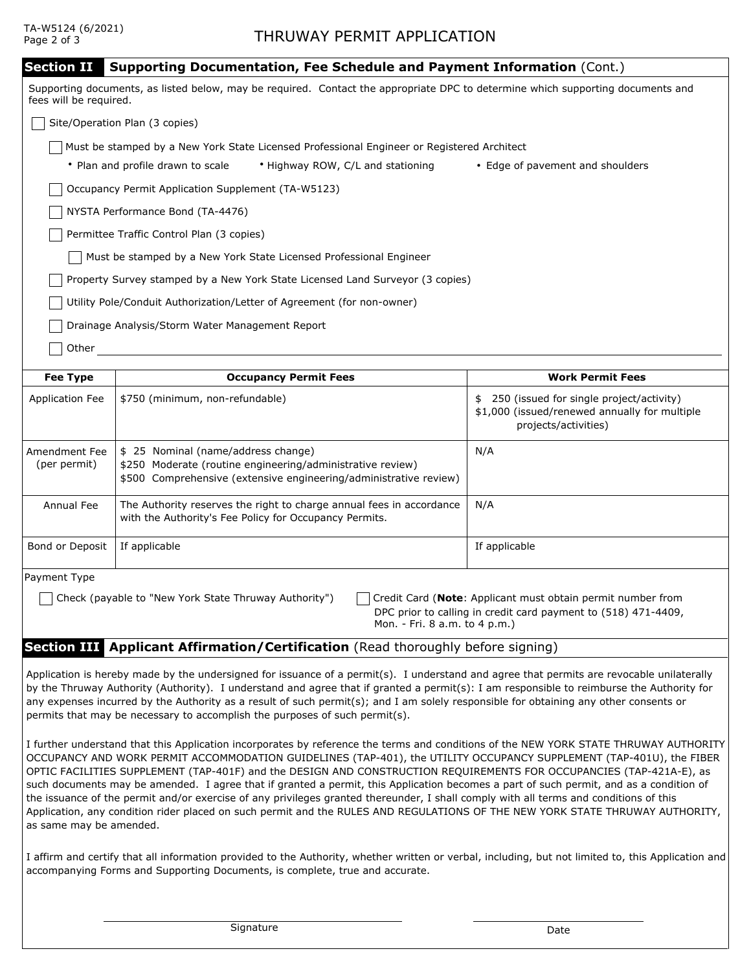## TA-W5124 (6/2021)

Bond or Deposit

Payment Type

| <b>Section II</b><br><b>Supporting Documentation, Fee Schedule and Payment Information (Cont.)</b> |                                                                                                                                                                        |                                                                                                                         |  |  |  |  |  |
|----------------------------------------------------------------------------------------------------|------------------------------------------------------------------------------------------------------------------------------------------------------------------------|-------------------------------------------------------------------------------------------------------------------------|--|--|--|--|--|
| fees will be required.                                                                             | Supporting documents, as listed below, may be required. Contact the appropriate DPC to determine which supporting documents and                                        |                                                                                                                         |  |  |  |  |  |
|                                                                                                    | Site/Operation Plan (3 copies)                                                                                                                                         |                                                                                                                         |  |  |  |  |  |
| Must be stamped by a New York State Licensed Professional Engineer or Registered Architect         |                                                                                                                                                                        |                                                                                                                         |  |  |  |  |  |
|                                                                                                    | • Plan and profile drawn to scale<br>• Highway ROW, C/L and stationing                                                                                                 | • Edge of pavement and shoulders                                                                                        |  |  |  |  |  |
|                                                                                                    | Occupancy Permit Application Supplement (TA-W5123)                                                                                                                     |                                                                                                                         |  |  |  |  |  |
| NYSTA Performance Bond (TA-4476)                                                                   |                                                                                                                                                                        |                                                                                                                         |  |  |  |  |  |
| Permittee Traffic Control Plan (3 copies)                                                          |                                                                                                                                                                        |                                                                                                                         |  |  |  |  |  |
| Must be stamped by a New York State Licensed Professional Engineer                                 |                                                                                                                                                                        |                                                                                                                         |  |  |  |  |  |
| Property Survey stamped by a New York State Licensed Land Surveyor (3 copies)                      |                                                                                                                                                                        |                                                                                                                         |  |  |  |  |  |
| Utility Pole/Conduit Authorization/Letter of Agreement (for non-owner)                             |                                                                                                                                                                        |                                                                                                                         |  |  |  |  |  |
| Drainage Analysis/Storm Water Management Report                                                    |                                                                                                                                                                        |                                                                                                                         |  |  |  |  |  |
| Other                                                                                              |                                                                                                                                                                        |                                                                                                                         |  |  |  |  |  |
|                                                                                                    |                                                                                                                                                                        |                                                                                                                         |  |  |  |  |  |
| <b>Fee Type</b>                                                                                    | <b>Occupancy Permit Fees</b>                                                                                                                                           | <b>Work Permit Fees</b>                                                                                                 |  |  |  |  |  |
| <b>Application Fee</b>                                                                             | \$750 (minimum, non-refundable)                                                                                                                                        | 250 (issued for single project/activity)<br>\$<br>\$1,000 (issued/renewed annually for multiple<br>projects/activities) |  |  |  |  |  |
| Amendment Fee<br>(per permit)                                                                      | \$ 25 Nominal (name/address change)<br>\$250 Moderate (routine engineering/administrative review)<br>\$500 Comprehensive (extensive engineering/administrative review) | N/A                                                                                                                     |  |  |  |  |  |

DPC prior to calling in credit card payment to (518) 471-4409, Mon. - Fri. 8 a.m. to 4 p.m.)

Annual Fee  $\;\;\mid$  The Authority reserves the right to charge annual fees in accordance  $\;\mid\;$  N/A

with the Authority's Fee Policy for Occupancy Permits.

## **Section III Applicant Affirmation/Certification** (Read thoroughly before signing)

If applicable **If applicable If applicable** 

Application is hereby made by the undersigned for issuance of a permit(s). I understand and agree that permits are revocable unilaterally by the Thruway Authority (Authority). I understand and agree that if granted a permit(s): I am responsible to reimburse the Authority for any expenses incurred by the Authority as a result of such permit(s); and I am solely responsible for obtaining any other consents or permits that may be necessary to accomplish the purposes of such permit(s).

Check (payable to "New York State Thruway Authority") Credit Card (**Note**: Applicant must obtain permit number from

I further understand that this Application incorporates by reference the terms and conditions of the NEW YORK STATE THRUWAY AUTHORITY OCCUPANCY AND WORK PERMIT ACCOMMODATION GUIDELINES (TAP-401), the UTILITY OCCUPANCY SUPPLEMENT (TAP-401U), the FIBER OPTIC FACILITIES SUPPLEMENT (TAP-401F) and the DESIGN AND CONSTRUCTION REQUIREMENTS FOR OCCUPANCIES (TAP-421A-E), as such documents may be amended. I agree that if granted a permit, this Application becomes a part of such permit, and as a condition of the issuance of the permit and/or exercise of any privileges granted thereunder, I shall comply with all terms and conditions of this Application, any condition rider placed on such permit and the RULES AND REGULATIONS OF THE NEW YORK STATE THRUWAY AUTHORITY, as same may be amended.

I affirm and certify that all information provided to the Authority, whether written or verbal, including, but not limited to, this Application and accompanying Forms and Supporting Documents, is complete, true and accurate.

Signature